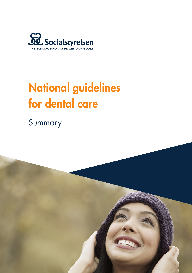

# National guidelines for dental care

Summary

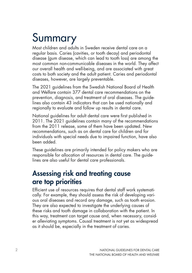# Summary

Most children and adults in Sweden receive dental care on a regular basis. Caries (cavities, or tooth decay) and periodontal disease (gum disease, which can lead to tooth loss) are among the most common non-communicable diseases in the world. They affect our overall health and well-being, and are associated with great costs to both society and the adult patient. Caries and periodontal diseases, however, are largely preventable.

The 2021 guidelines from the Swedish National Board of Health and Welfare contain 377 dental care recommendations on the prevention, diagnosis, and treatment of oral diseases. The guidelines also contain 43 indicators that can be used nationally and regionally to evaluate and follow up results in dental care.

National guidelines for adult dental care were first published in 2011. The 2021 guidelines contain many of the recommendations from the 2011 release, some of them have been updated. New recommendations, such as on dental care for children and for individuals with special needs due to impaired function, have also been added.

These guidelines are primarily intended for policy makers who are responsible for allocation of resources in dental care. The guidelines are also useful for dental care professionals.

## Assessing risk and treating cause are top priorities

Efficient use of resources requires that dental staff work systematically. For example, they should assess the risk of developing various oral diseases and record any damage, such as tooth erosion. They are also expected to investigate the underlying causes of these risks and tooth damage in collaboration with the patient. In this way, treatment can target cause and, when necessary, consider alleviating symptoms. Causal treatment is not yet as widespread as it should be, especially in the treatment of caries.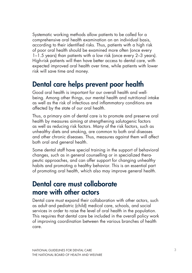Systematic working methods allow patients to be called for a comprehensive oral health examination on an individual basis, according to their identified risks. Thus, patients with a high risk of poor oral health should be examined more often (once every 1–1.5 years) than patients with a low risk (once every 2–3 years). High-risk patients will then have better access to dental care, with expected improved oral health over time, while patients with lower risk will save time and money.

#### Dental care helps prevent poor health

Good oral health is important for our overall health and wellbeing. Among other things, our mental health and nutritional intake as well as the risk of infectious and inflammatory conditions are affected by the state of our oral health.

Thus, a primary aim of dental care is to promote and preserve oral health by measures aiming at strengthening salutogenic factors as well as reducing risk factors. Many of the risk factors, such as unhealthy diets and smoking, are common to both oral diseases and other chronic diseases. Thus, measures against them will affect both oral and general health.

Some dental staff have special training in the support of behavioral changes, such as in general counselling or in specialized therapeutic approaches, and can offer support for changing unhealthy habits and promoting a healthy behavior. This is an essential part of promoting oral health, which also may improve general health.

#### Dental care must collaborate more with other actors

Dental care must expand their collaboration with other actors, such as adult and pediatric (child) medical care, schools, and social services in order to raise the level of oral health in the population. This requires that dental care be included in the overall policy work of improving coordination between the various branches of health care.